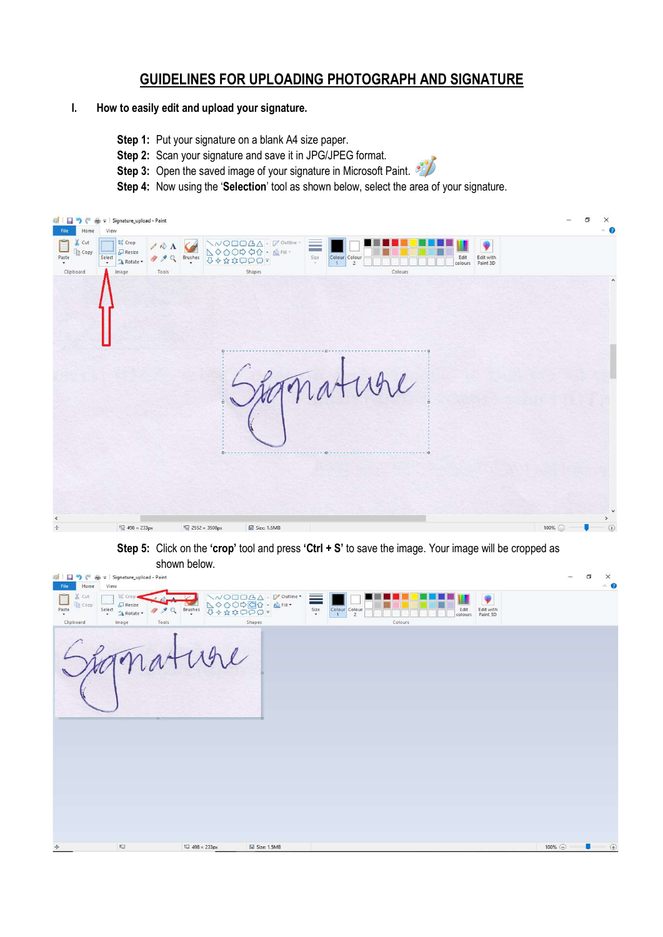## GUIDELINES FOR UPLOADING PHOTOGRAPH AND SIGNATURE

## I. How to easily edit and upload your signature.

- Step 1: Put your signature on a blank A4 size paper.
- Step 2: Scan your signature and save it in JPG/JPEG format.
- Step 3: Open the saved image of your signature in Microsoft Paint.
- Step 4: Now using the 'Selection' tool as shown below, select the area of your signature.

| GIE<br>Ð<br>€<br>Home<br>File.         | $\overline{\mathbf{v}}$ Signature_upload - Paint<br>画<br>View         |                      |                  |                                                          |                            |                                                                                                                               | O<br>ī | $\times$<br>$\land$ 0                        |
|----------------------------------------|-----------------------------------------------------------------------|----------------------|------------------|----------------------------------------------------------|----------------------------|-------------------------------------------------------------------------------------------------------------------------------|--------|----------------------------------------------|
| $\chi$ Cut<br>Copy<br>Paste<br>$\star$ | bi Crop<br>$\Box$ Resize<br>Select<br>A Rotate<br>$\scriptstyle\star$ | $\triangle$ A<br>999 |                  | ヽ~○□□△△ - ☞ outline -<br>∠◇△○♀ ⇔☆ - ▲Fill -<br>↓◆☆☆□○○ = | $\equiv$<br>Size<br>$\sim$ | Edit<br>$\begin{array}{c c}\n\text{Colour} & \text{Colour} \\ \hline\n1 & 2\n\end{array}$<br>Edit with<br>colours<br>Paint 3D |        |                                              |
| Clipboard                              | Image                                                                 | Tools                |                  | Shapes                                                   |                            | Colours                                                                                                                       |        |                                              |
|                                        |                                                                       |                      |                  |                                                          |                            |                                                                                                                               |        | $\land$                                      |
|                                        |                                                                       |                      |                  |                                                          |                            | $\mathfrak{h}\mathfrak{l}$<br>UV                                                                                              |        |                                              |
| $\leq$<br>$\div$                       | ICJ 498 × 233px                                                       |                      | IC 2552 × 3508px | $\circ$<br>Size: 1.5MB                                   |                            |                                                                                                                               | 100% ( | $\checkmark$<br>$\rightarrow$<br>$\bigoplus$ |

Step 5: Click on the 'crop' tool and press 'Ctrl + S' to save the image. Your image will be cropped as shown below.

| ◎ 日うぐ<br>Home<br>File                 | d = Signature_upload - Paint<br>View                                           |                                   |                              |            |                                                                                 |                                           | $\overline{\phantom{a}}$                   | O | $\times$<br>$\hat{\phantom{a}}$ |
|---------------------------------------|--------------------------------------------------------------------------------|-----------------------------------|------------------------------|------------|---------------------------------------------------------------------------------|-------------------------------------------|--------------------------------------------|---|---------------------------------|
| X Cut<br>М<br>Copy<br>$_{\rm{paste}}$ | 区 Crop.<br>$\Box$ Resize<br>$\xi_{\text{elect}}$<br>999<br>A Rotate -<br>Tools | 0000000<br>$\xi^{\text{Brushes}}$ | $ \bigotimes$ Fill $\bullet$ | ≡<br>$\xi$ | Edit<br>Colour Colour<br>colours<br>$\overline{1}$<br>$\overline{2}$<br>Colours | $\ddot{\bullet}$<br>Edit with<br>Paint 3D |                                            |   |                                 |
| Clipboard                             | Image                                                                          |                                   | Shapes                       |            |                                                                                 |                                           |                                            |   |                                 |
|                                       |                                                                                |                                   |                              |            |                                                                                 |                                           |                                            |   |                                 |
|                                       |                                                                                |                                   |                              |            |                                                                                 |                                           |                                            |   |                                 |
| $+1$                                  | <b>IO</b>                                                                      | I $\Box$ 498 x 233nx              | El Size: 1.5MR               | n di       |                                                                                 |                                           | $100\%$ $\ominus$ $\blacksquare$ $\ominus$ |   |                                 |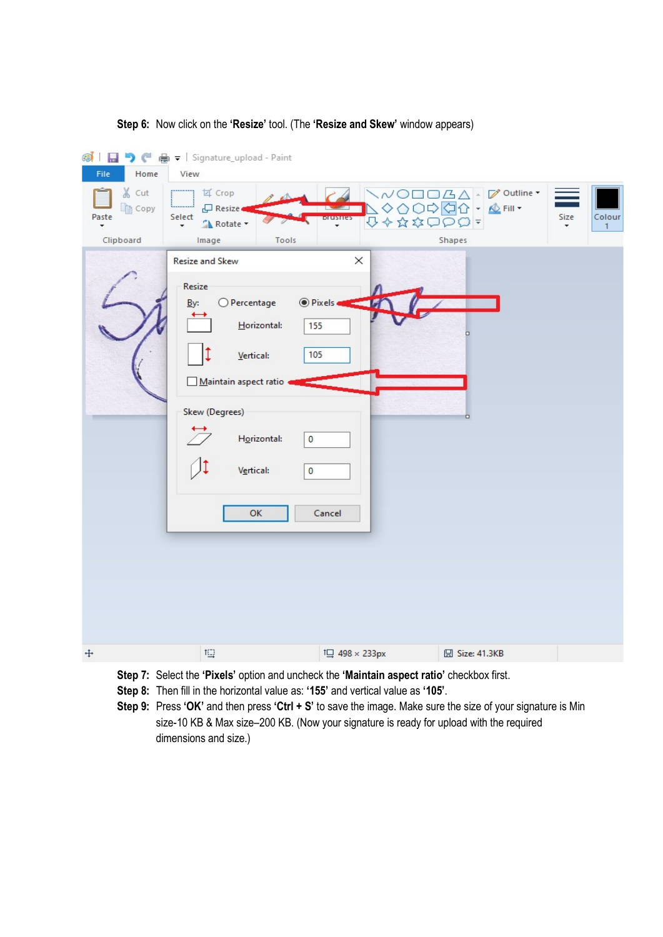



Step 7: Select the 'Pixels' option and uncheck the 'Maintain aspect ratio' checkbox first.

Step 8: Then fill in the horizontal value as: '155' and vertical value as '105'.

Step 9: Press 'OK' and then press 'Ctrl + S' to save the image. Make sure the size of your signature is Min size-10 KB & Max size–200 KB. (Now your signature is ready for upload with the required dimensions and size.)